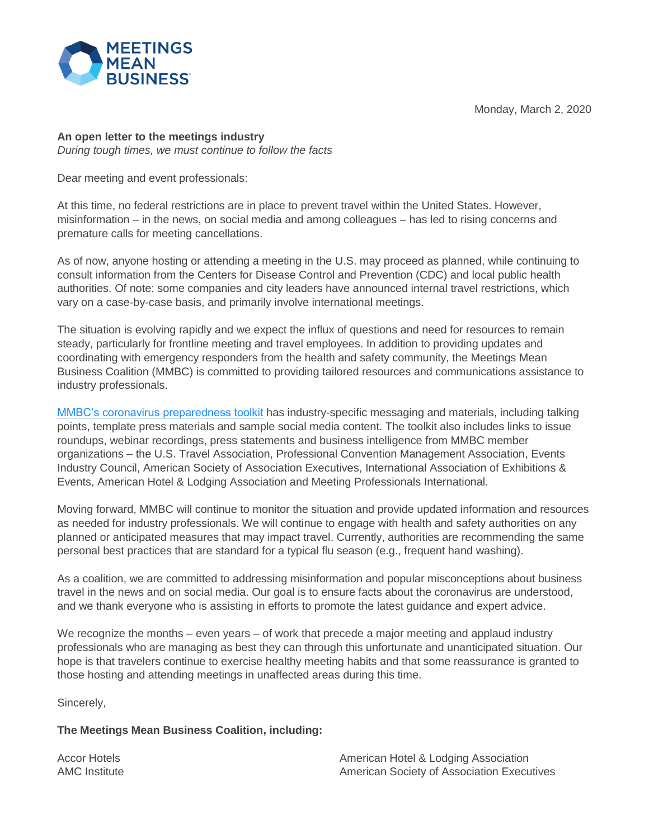Monday, March 2, 2020



## **An open letter to the meetings industry**

*During tough times, we must continue to follow the facts* 

Dear meeting and event professionals:

At this time, no federal restrictions are in place to prevent travel within the United States. However, misinformation – in the news, on social media and among colleagues – has led to rising concerns and premature calls for meeting cancellations.

As of now, anyone hosting or attending a meeting in the U.S. may proceed as planned, while continuing to consult information from the Centers for Disease Control and Prevention (CDC) and local public health authorities. Of note: some companies and city leaders have announced internal travel restrictions, which vary on a case-by-case basis, and primarily involve international meetings.

The situation is evolving rapidly and we expect the influx of questions and need for resources to remain steady, particularly for frontline meeting and travel employees. In addition to providing updates and coordinating with emergency responders from the health and safety community, the Meetings Mean Business Coalition (MMBC) is committed to providing tailored resources and communications assistance to industry professionals.

[MMBC's coronavirus preparedness toolkit](https://www.meetingsmeanbusiness.com/coronavirus-resources) has industry-specific messaging and materials, including talking points, template press materials and sample social media content. The toolkit also includes links to issue roundups, webinar recordings, press statements and business intelligence from MMBC member organizations – the U.S. Travel Association, Professional Convention Management Association, Events Industry Council, American Society of Association Executives, International Association of Exhibitions & Events, American Hotel & Lodging Association and Meeting Professionals International.

Moving forward, MMBC will continue to monitor the situation and provide updated information and resources as needed for industry professionals. We will continue to engage with health and safety authorities on any planned or anticipated measures that may impact travel. Currently, authorities are recommending the same personal best practices that are standard for a typical flu season (e.g., frequent hand washing).

As a coalition, we are committed to addressing misinformation and popular misconceptions about business travel in the news and on social media. Our goal is to ensure facts about the coronavirus are understood, and we thank everyone who is assisting in efforts to promote the latest guidance and expert advice.

We recognize the months – even years – of work that precede a major meeting and applaud industry professionals who are managing as best they can through this unfortunate and unanticipated situation. Our hope is that travelers continue to exercise healthy meeting habits and that some reassurance is granted to those hosting and attending meetings in unaffected areas during this time.

Sincerely,

## **The Meetings Mean Business Coalition, including:**

Accor Hotels AMC Institute American Hotel & Lodging Association American Society of Association Executives